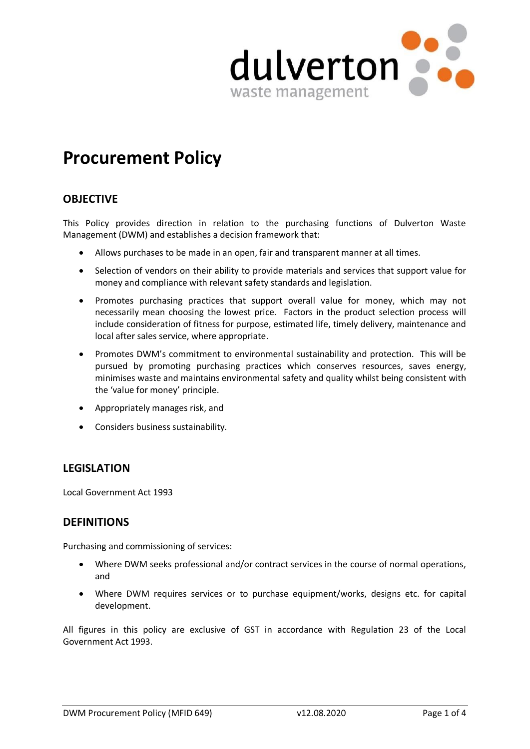

# **Procurement Policy**

# **OBJECTIVE**

This Policy provides direction in relation to the purchasing functions of Dulverton Waste Management (DWM) and establishes a decision framework that:

- ∂ Allows purchases to be made in an open, fair and transparent manner at all times.
- Selection of vendors on their ability to provide materials and services that support value for money and compliance with relevant safety standards and legislation.
- Promotes purchasing practices that support overall value for money, which may not necessarily mean choosing the lowest price. Factors in the product selection process will include consideration of fitness for purpose, estimated life, timely delivery, maintenance and local after sales service, where appropriate.
- Promotes DWM's commitment to environmental sustainability and protection. This will be pursued by promoting purchasing practices which conserves resources, saves energy, minimises waste and maintains environmental safety and quality whilst being consistent with the 'value for money' principle.
- ∂ Appropriately manages risk, and
- Considers business sustainability.

## **LEGISLATION**

Local Government Act 1993

## **DEFINITIONS**

Purchasing and commissioning of services:

- Where DWM seeks professional and/or contract services in the course of normal operations, and
- Where DWM requires services or to purchase equipment/works, designs etc. for capital development.

All figures in this policy are exclusive of GST in accordance with Regulation 23 of the Local Government Act 1993.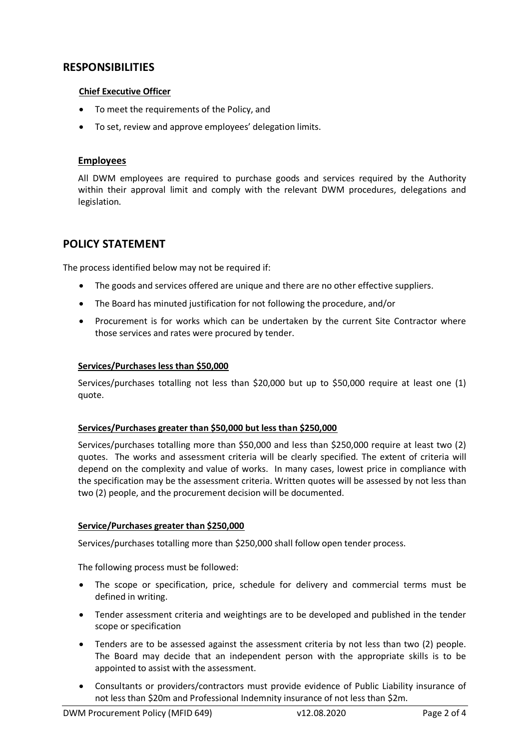## **RESPONSIBILITIES**

### **Chief Executive Officer**

- ∂ To meet the requirements of the Policy, and
- To set, review and approve employees' delegation limits.

#### **Employees**

All DWM employees are required to purchase goods and services required by the Authority within their approval limit and comply with the relevant DWM procedures, delegations and legislation.

## **POLICY STATEMENT**

The process identified below may not be required if:

- The goods and services offered are unique and there are no other effective suppliers.
- ∂ The Board has minuted justification for not following the procedure, and/or
- Procurement is for works which can be undertaken by the current Site Contractor where those services and rates were procured by tender.

#### **Services/Purchases less than \$50,000**

Services/purchases totalling not less than \$20,000 but up to \$50,000 require at least one (1) quote.

#### **Services/Purchases greater than \$50,000 but less than \$250,000**

Services/purchases totalling more than \$50,000 and less than \$250,000 require at least two (2) quotes. The works and assessment criteria will be clearly specified. The extent of criteria will depend on the complexity and value of works. In many cases, lowest price in compliance with the specification may be the assessment criteria. Written quotes will be assessed by not less than two (2) people, and the procurement decision will be documented.

#### **Service/Purchases greater than \$250,000**

Services/purchases totalling more than \$250,000 shall follow open tender process.

The following process must be followed:

- ∂ The scope or specification, price, schedule for delivery and commercial terms must be defined in writing.
- Tender assessment criteria and weightings are to be developed and published in the tender scope or specification
- Tenders are to be assessed against the assessment criteria by not less than two (2) people. The Board may decide that an independent person with the appropriate skills is to be appointed to assist with the assessment.
- Consultants or providers/contractors must provide evidence of Public Liability insurance of not less than \$20m and Professional Indemnity insurance of not less than \$2m.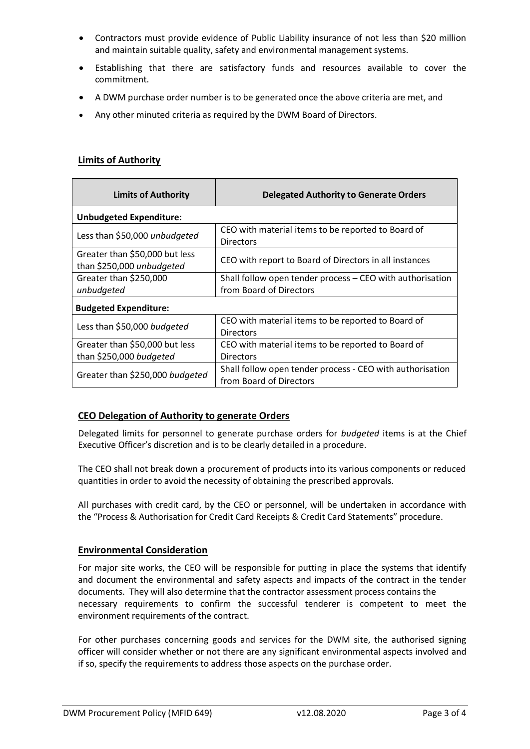- Contractors must provide evidence of Public Liability insurance of not less than \$20 million and maintain suitable quality, safety and environmental management systems.
- Establishing that there are satisfactory funds and resources available to cover the commitment.
- A DWM purchase order number is to be generated once the above criteria are met, and
- Any other minuted criteria as required by the DWM Board of Directors.

## **Limits of Authority**

| <b>Limits of Authority</b>                                  | <b>Delegated Authority to Generate Orders</b>                                        |  |  |  |
|-------------------------------------------------------------|--------------------------------------------------------------------------------------|--|--|--|
| <b>Unbudgeted Expenditure:</b>                              |                                                                                      |  |  |  |
| Less than \$50,000 unbudgeted                               | CEO with material items to be reported to Board of<br><b>Directors</b>               |  |  |  |
| Greater than \$50,000 but less<br>than \$250,000 unbudgeted | CEO with report to Board of Directors in all instances                               |  |  |  |
| Greater than \$250,000                                      | Shall follow open tender process - CEO with authorisation                            |  |  |  |
| unbudgeted                                                  | from Board of Directors                                                              |  |  |  |
| <b>Budgeted Expenditure:</b>                                |                                                                                      |  |  |  |
| Less than \$50,000 budgeted                                 | CEO with material items to be reported to Board of<br><b>Directors</b>               |  |  |  |
| Greater than \$50,000 but less                              | CEO with material items to be reported to Board of                                   |  |  |  |
| than \$250,000 budgeted                                     | <b>Directors</b>                                                                     |  |  |  |
| Greater than \$250,000 budgeted                             | Shall follow open tender process - CEO with authorisation<br>from Board of Directors |  |  |  |

## **CEO Delegation of Authority to generate Orders**

Delegated limits for personnel to generate purchase orders for *budgeted* items is at the Chief Executive Officer's discretion and is to be clearly detailed in a procedure.

The CEO shall not break down a procurement of products into its various components or reduced quantities in order to avoid the necessity of obtaining the prescribed approvals.

All purchases with credit card, by the CEO or personnel, will be undertaken in accordance with the "Process & Authorisation for Credit Card Receipts & Credit Card Statements" procedure.

## **Environmental Consideration**

For major site works, the CEO will be responsible for putting in place the systems that identify and document the environmental and safety aspects and impacts of the contract in the tender documents. They will also determine that the contractor assessment process contains the necessary requirements to confirm the successful tenderer is competent to meet the environment requirements of the contract.

For other purchases concerning goods and services for the DWM site, the authorised signing officer will consider whether or not there are any significant environmental aspects involved and if so, specify the requirements to address those aspects on the purchase order.